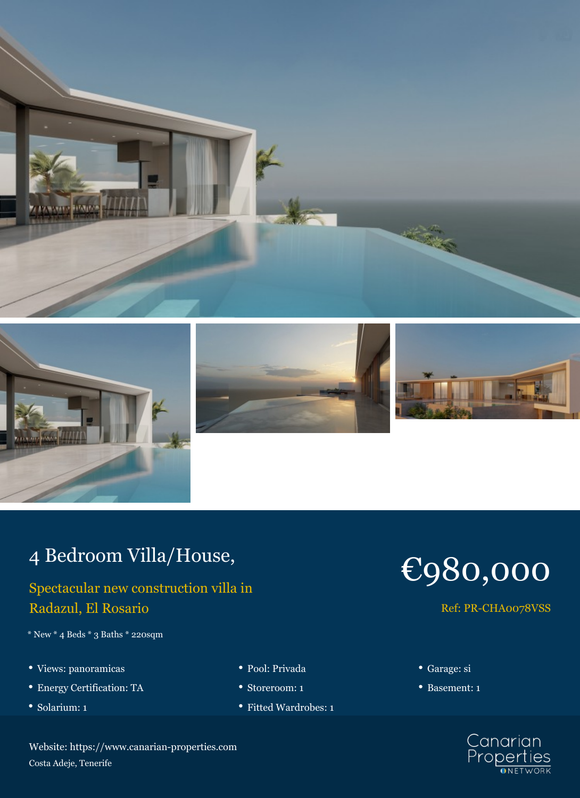







## 4 Bedroom Villa/House,

## Spectacular new construction villa in Radazul, El Rosario

- $^{\ast}$  New  $^{\ast}$  4 Beds  $^{\ast}$  3 Baths  $^{\ast}$  220sqm
- Views: panoramicas Pool: Privada Garage: si
- Energy Certification: TA Storeroom: 1 Basement: 1
- 
- 
- 
- Solarium: 1 **Fitted Wardrobes: 1 Fitted Wardrobes: 1**



## Ref: PR-CHA0078VSS

- 
- 



Website: https://www.canarian-properties.com Costa Adeje, Tenerife